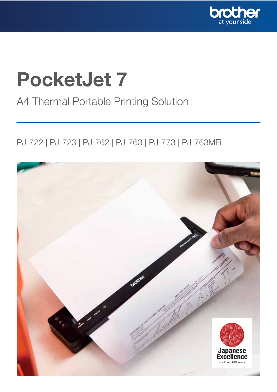

## PocketJet 7

### A4 Thermal Portable Printing Solution

### PJ-722 | PJ-723 | PJ-762 | PJ-763 | PJ-773 | PJ-763MFi

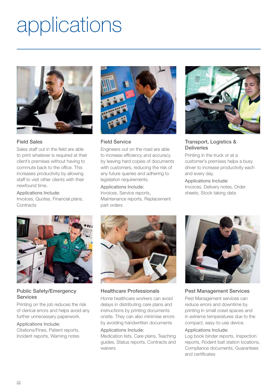# applications



### Field Sales

Sales staff out in the field are able to print whatever is required at their client's premises without having to commute back to the office. This increases productivity by allowing staff to visit other clients with their newfound time.

Applications Include: Invoices, Quotes, Financial plans, **Contracts** 



Field Service

Engineers out on the road are able to increase efficiency and accuracy by leaving hard copies of documents with customers, reducing the risk of any future queries and adhering to legislation requirements.

Applications Include: Invoices, Service reports, Maintenance reports, Replacement part orders



### Transport, Logistics & **Deliveries**

Printing in the truck or at a customer's premises helps a busy driver to increase productivity each and every day.

Applications Include: Invoices, Delivery notes, Order sheets, Stock taking data



### Public Safety/Emergency **Services**

Printing on the job reduces the risk of clerical errors and helps avoid any further unnecessary paperwork.

### Applications Include:

Citations/Fines, Patient reports, Incident reports, Warning notes



### Healthcare Professionals

Home healthcare workers can avoid delays in distributing care plans and instructions by printing documents onsite. They can also minimise errors by avoiding handwritten documents

### Applications Include:

Medication lists, Care plans, Teaching guides, Status reports, Contracts and waivers



### Pest Management Services

Pest Management services can reduce errors and downtime by printing in small crawl spaces and in extreme temperatures due to the compact, easy-to-use device.

### Applications Include:

Log book binder reports, Inspection reports, Rodent bait station locations, Compliance documents, Guarantees and certificates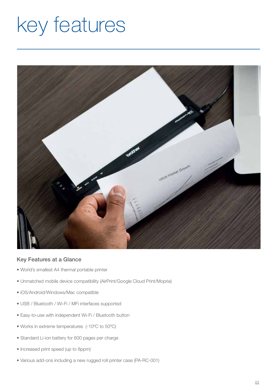## key features



### Key Features at a Glance

- World's smallest A4 thermal portable printer
- Unmatched mobile device compatibility (AirPrint/Google Cloud Print/Mopria)
- iOS/Android/Windows/Mac compatible
- USB / Bluetooth / Wi-Fi / MFi interfaces supported
- Easy-to-use with independent Wi-Fi / Bluetooth button
- Works in extreme temperatures (-10ºC to 50ºC)
- Standard Li-ion battery for 600 pages per charge
- Increased print speed (up to 8ppm)
- Various add-ons including a new rugged roll printer case (PA-RC-001)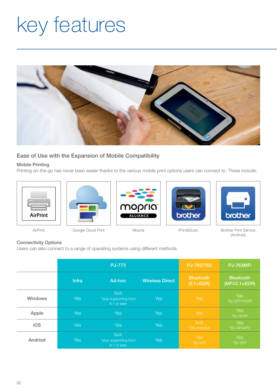# key features



### Ease of Use with the Expansion of Mobile Compatibility

### Mobile Printing

Printing on-the-go has never been easier thanks to the various mobile print options users can connect to. These include:







Google Cloud Print







AirPrint Coogle Cloud Print Mopria Coogle Cloud Print Service (Android)

### Connectivity Options

Users can also connect to a range of operating systems using different methods.

|                | <b>PJ-773</b> |                                              |                        | PJ-762/763                        | <b>PJ-763MFi</b>                    |
|----------------|---------------|----------------------------------------------|------------------------|-----------------------------------|-------------------------------------|
|                | <b>Infra</b>  | Ad-hoc                                       | <b>Wireless Direct</b> | <b>Bluetooth</b><br>$(2.1 + EDR)$ | <b>Bluetooth</b><br>$(MFi/2.1+EDR)$ |
| <b>Windows</b> | <b>Yes</b>    | N/A<br>*stop supporting from<br>8.1 or later | <b>Yes</b>             | Yes                               | <b>Yes</b><br>*By SPP/HCRP          |
| Apple          | <b>Yes</b>    | <b>Yes</b>                                   | Yes                    | Yes                               | <b>Yes</b><br>*By HCRP              |
| iOS            | <b>Yes</b>    | <b>Yes</b>                                   | Yes                    | N/A<br>*OS limitation             | <b>Yes</b><br>*By iAP/iAP2          |
| Andriod        | <b>Yes</b>    | N/A<br>*stop supporting from<br>8.1 or later | Yes                    | Yes<br>*By SPP                    | <b>Yes</b><br>*By SPP               |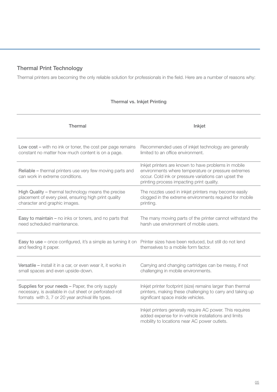### Thermal Print Technology

Thermal printers are becoming the only reliable solution for professionals in the field. Here are a number of reasons why:

### Thermal vs. Inkjet Printing

| <b>Thermal</b>                                                                               | Inkjet                                                                                                                                                                                                           |
|----------------------------------------------------------------------------------------------|------------------------------------------------------------------------------------------------------------------------------------------------------------------------------------------------------------------|
| Low cost – with no ink or toner, the cost per page remains                                   | Recommended uses of inkjet technology are generally                                                                                                                                                              |
| constant no matter how much content is on a page.                                            | limited to an office environment.                                                                                                                                                                                |
| Reliable - thermal printers use very few moving parts and<br>can work in extreme conditions. | Inkjet printers are known to have problems in mobile<br>environments where temperature or pressure extremes<br>occur. Cold ink or pressure variations can upset the<br>printing process impacting print quality. |
| High Quality - thermal technology means the precise                                          | The nozzles used in inkjet printers may become easily                                                                                                                                                            |
| placement of every pixel, ensuring high print quality                                        | clogged in the extreme environments required for mobile                                                                                                                                                          |
| character and graphic images.                                                                | printing.                                                                                                                                                                                                        |
| Easy to maintain - no inks or toners, and no parts that                                      | The many moving parts of the printer cannot withstand the                                                                                                                                                        |
| need scheduled maintenance.                                                                  | harsh use environment of mobile users.                                                                                                                                                                           |
| Easy to use - once configured, it's a simple as turning it on                                | Printer sizes have been reduced, but still do not lend                                                                                                                                                           |
| and feeding it paper.                                                                        | themselves to a mobile form factor.                                                                                                                                                                              |
| Versatile - install it in a car, or even wear it, it works in                                | Carrying and changing cartridges can be messy, if not                                                                                                                                                            |
| small spaces and even upside-down.                                                           | challenging in mobile environments.                                                                                                                                                                              |
| Supplies for your needs - Paper, the only supply                                             | Inkjet printer footprint (size) remains larger than thermal                                                                                                                                                      |
| necessary, is available in cut sheet or perforated-roll                                      | printers, making these challenging to carry and taking up                                                                                                                                                        |
| formats with 3, 7 or 20 year archival life types.                                            | significant space inside vehicles.                                                                                                                                                                               |
|                                                                                              | Inkjet printers generally require AC power. This requires<br>added expense for in-vehicle installations and limits<br>mobility to locations near AC power outlets.                                               |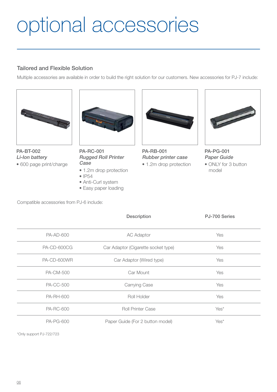# optional accessories

### Tailored and Flexible Solution

Multiple accessories are available in order to build the right solution for our customers. New accessories for PJ-7 include:



PA-BT-002 Li-Ion battery • 600 page print/charge



PA-RC-001 Rugged Roll Printer Case

- 1.2m drop protection
- IP54
- Anti-Curl system
- Easy paper loading



PA-RB-001 Rubber printer case

• 1.2m drop protection



PA-PG-001 Paper Guide

• ONLY for 3 button model

Compatible accessories from PJ-6 include:

|                                                      | Description                         | PJ-700 Series |
|------------------------------------------------------|-------------------------------------|---------------|
| <b>PA-AD-600</b>                                     | <b>AC Adaptor</b>                   | Yes           |
| <b>PA-CD-600CG</b>                                   | Car Adaptor (Cigarette socket type) | Yes           |
| PA-CD-600WR                                          | Car Adaptor (Wired type)            |               |
| <b>PA-CM-500</b>                                     | Car Mount                           | Yes           |
| <b>PA-CC-500</b>                                     | Carrying Case                       | Yes           |
| <b>PA-RH-600</b>                                     | Roll Holder                         | Yes           |
| <b>PA-RC-600</b>                                     | <b>Roll Printer Case</b>            | Yes*          |
| <b>PA-PG-600</b><br>Paper Guide (For 2 button model) |                                     | Yes*          |
|                                                      |                                     |               |

\*Only support PJ-722/723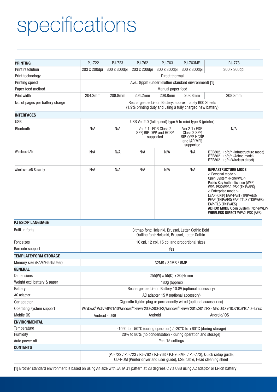# specifications

| <b>PRINTING</b>                 | PJ-722                                                                                                                    | PJ-723                                                                                                                                                 | PJ-762                                                     | PJ-763            | PJ-763MFi                                                                              | PJ-773                                                                                                                                                                                                                                                                                                                                                      |  |
|---------------------------------|---------------------------------------------------------------------------------------------------------------------------|--------------------------------------------------------------------------------------------------------------------------------------------------------|------------------------------------------------------------|-------------------|----------------------------------------------------------------------------------------|-------------------------------------------------------------------------------------------------------------------------------------------------------------------------------------------------------------------------------------------------------------------------------------------------------------------------------------------------------------|--|
| <b>Print resolution</b>         | 203 x 200dpi                                                                                                              | 300 x 300dpi                                                                                                                                           | 203 x 200dpi                                               | 300 x 300dpi      | 300 x 300dpi                                                                           | 300 x 300dpi                                                                                                                                                                                                                                                                                                                                                |  |
| Print technology                | Direct thermal                                                                                                            |                                                                                                                                                        |                                                            |                   |                                                                                        |                                                                                                                                                                                                                                                                                                                                                             |  |
| Printing speed                  | Ave.: 8ppm (under Brother standard environment) [1]                                                                       |                                                                                                                                                        |                                                            |                   |                                                                                        |                                                                                                                                                                                                                                                                                                                                                             |  |
| Paper feed method               |                                                                                                                           |                                                                                                                                                        |                                                            | Manual paper feed |                                                                                        |                                                                                                                                                                                                                                                                                                                                                             |  |
| Print width                     | 204.2mm                                                                                                                   | 208.8mm                                                                                                                                                | 204.2mm                                                    | 208.8mm           | 208.8mm                                                                                | 208.8mm                                                                                                                                                                                                                                                                                                                                                     |  |
| No. of pages per battery charge | Rechargeable Li-ion Battery: approximately 600 Sheets<br>(1.9% printing duty and using a fully charged new battery)       |                                                                                                                                                        |                                                            |                   |                                                                                        |                                                                                                                                                                                                                                                                                                                                                             |  |
| <b>INTERFACES</b>               |                                                                                                                           |                                                                                                                                                        |                                                            |                   |                                                                                        |                                                                                                                                                                                                                                                                                                                                                             |  |
| <b>USB</b>                      | USB Ver.2.0 (full speed) type A to mini type B (printer)                                                                  |                                                                                                                                                        |                                                            |                   |                                                                                        |                                                                                                                                                                                                                                                                                                                                                             |  |
| Bluetooth                       | N/A                                                                                                                       | N/A                                                                                                                                                    | Ver.2.1+EDR Class 2<br>SPP, BIP, OPP and HCRP<br>supported |                   | $Ver.2.1 + EDR$<br>Class 2 SPP,<br>BIP, OPP, HCRP<br>and <i>iAP</i> (MFi)<br>supported | N/A                                                                                                                                                                                                                                                                                                                                                         |  |
| Wireless-LAN                    | N/A                                                                                                                       | N/A                                                                                                                                                    | N/A                                                        | N/A               | N/A                                                                                    | IEEE802.11b/g/n (Infrastructure mode)<br>IEEE802.11b/g/n (Adhoc mode)<br>IEEE802.11g/n (Wireless direct)                                                                                                                                                                                                                                                    |  |
| <b>Wireless-LAN Security</b>    | N/A                                                                                                                       | N/A                                                                                                                                                    | N/A                                                        | N/A               | N/A                                                                                    | <b>INFRASTRUCTURE MODE</b><br>< Personal mode ><br>Open System (None/WEP)<br>Public Key Authentication (WEP)<br>WPA-PSK/WPA2-PSK (TKIP/AES)<br>$<$ Enterprise mode $>$<br>LEAP (CKIP) EAP-FAST (TKIP/AES)<br>PEAP (TKIP/AES) EAP-TTLS (TKIP/AES)<br>EAP-TLS (TKIP/AES)<br><b>ADHOC MODE</b> Open System (None/WEP)<br><b>WIRELESS DIRECT WPA2-PSK (AES)</b> |  |
| <b>PJ ESC/P LANGUAGE</b>        |                                                                                                                           |                                                                                                                                                        |                                                            |                   |                                                                                        |                                                                                                                                                                                                                                                                                                                                                             |  |
| Built-in fonts                  |                                                                                                                           | Bitmap font: Helsinki, Brussel, Letter Gothic Bold<br>Outline font: Helsinki, Brussel, Letter Gothic                                                   |                                                            |                   |                                                                                        |                                                                                                                                                                                                                                                                                                                                                             |  |
| Font sizes                      |                                                                                                                           |                                                                                                                                                        |                                                            |                   | 10 cpi, 12 cpi, 15 cpi and proportional sizes                                          |                                                                                                                                                                                                                                                                                                                                                             |  |
| Barcode support                 |                                                                                                                           | Yes                                                                                                                                                    |                                                            |                   |                                                                                        |                                                                                                                                                                                                                                                                                                                                                             |  |
| <b>TEMPLATE/FORM STORAGE</b>    |                                                                                                                           |                                                                                                                                                        |                                                            |                   |                                                                                        |                                                                                                                                                                                                                                                                                                                                                             |  |
| Memory size (RAM/Flash/User)    |                                                                                                                           |                                                                                                                                                        |                                                            | 32MB / 32MB / 6MB |                                                                                        |                                                                                                                                                                                                                                                                                                                                                             |  |
| <b>GENERAL</b>                  |                                                                                                                           |                                                                                                                                                        |                                                            |                   |                                                                                        |                                                                                                                                                                                                                                                                                                                                                             |  |
| <b>Dimensions</b>               |                                                                                                                           | 255(W) x 55(D) x 30(H) mm                                                                                                                              |                                                            |                   |                                                                                        |                                                                                                                                                                                                                                                                                                                                                             |  |
| Weight excl battery & paper     | 480g (approx)                                                                                                             |                                                                                                                                                        |                                                            |                   |                                                                                        |                                                                                                                                                                                                                                                                                                                                                             |  |
| <b>Battery</b>                  | Rechargeable Li-ion Battery 10.8V (optional accessory)                                                                    |                                                                                                                                                        |                                                            |                   |                                                                                        |                                                                                                                                                                                                                                                                                                                                                             |  |
| AC adapter                      | AC adapter 15 V (optional accessory)                                                                                      |                                                                                                                                                        |                                                            |                   |                                                                                        |                                                                                                                                                                                                                                                                                                                                                             |  |
| Car adapter                     | Cigarette lighter plug or permanently wired (optional accessories)                                                        |                                                                                                                                                        |                                                            |                   |                                                                                        |                                                                                                                                                                                                                                                                                                                                                             |  |
| Operating system support        | Windows® Vista/7/8/8.1/10 Windows® Server 2008/2008 R2; Windows® Server 2012/2012 R2 - Mac OS X v 10.8/10.9/10.10 - Linux |                                                                                                                                                        |                                                            |                   |                                                                                        |                                                                                                                                                                                                                                                                                                                                                             |  |
| Mobile OS                       | Android<br>Android/i0S<br>Android - USB                                                                                   |                                                                                                                                                        |                                                            |                   |                                                                                        |                                                                                                                                                                                                                                                                                                                                                             |  |
| <b>ENVIRONMENTAL</b>            |                                                                                                                           |                                                                                                                                                        |                                                            |                   |                                                                                        |                                                                                                                                                                                                                                                                                                                                                             |  |
| Temperature                     |                                                                                                                           |                                                                                                                                                        |                                                            |                   | -10°C to +50°C (during operation) / -20°C to +60°C (during storage)                    |                                                                                                                                                                                                                                                                                                                                                             |  |
| Humidity                        | 20% to 80% (no condensation - during operation and storage)                                                               |                                                                                                                                                        |                                                            |                   |                                                                                        |                                                                                                                                                                                                                                                                                                                                                             |  |
| Auto power off                  |                                                                                                                           | Yes: 15 settings                                                                                                                                       |                                                            |                   |                                                                                        |                                                                                                                                                                                                                                                                                                                                                             |  |
| <b>CONTENTS</b>                 |                                                                                                                           |                                                                                                                                                        |                                                            |                   |                                                                                        |                                                                                                                                                                                                                                                                                                                                                             |  |
|                                 |                                                                                                                           | (PJ-722 / PJ-723 / PJ-762 / PJ-763 / PJ-763MFi / PJ-773), Quick setup guide,<br>CD-ROM (Printer driver and user guide), USB cable, Head cleaning sheet |                                                            |                   |                                                                                        |                                                                                                                                                                                                                                                                                                                                                             |  |

[1] Brother standard environment is based on using A4 size with JAITA J1 pattern at 23 degrees C via USB using AC adaptor or Li-ion battery